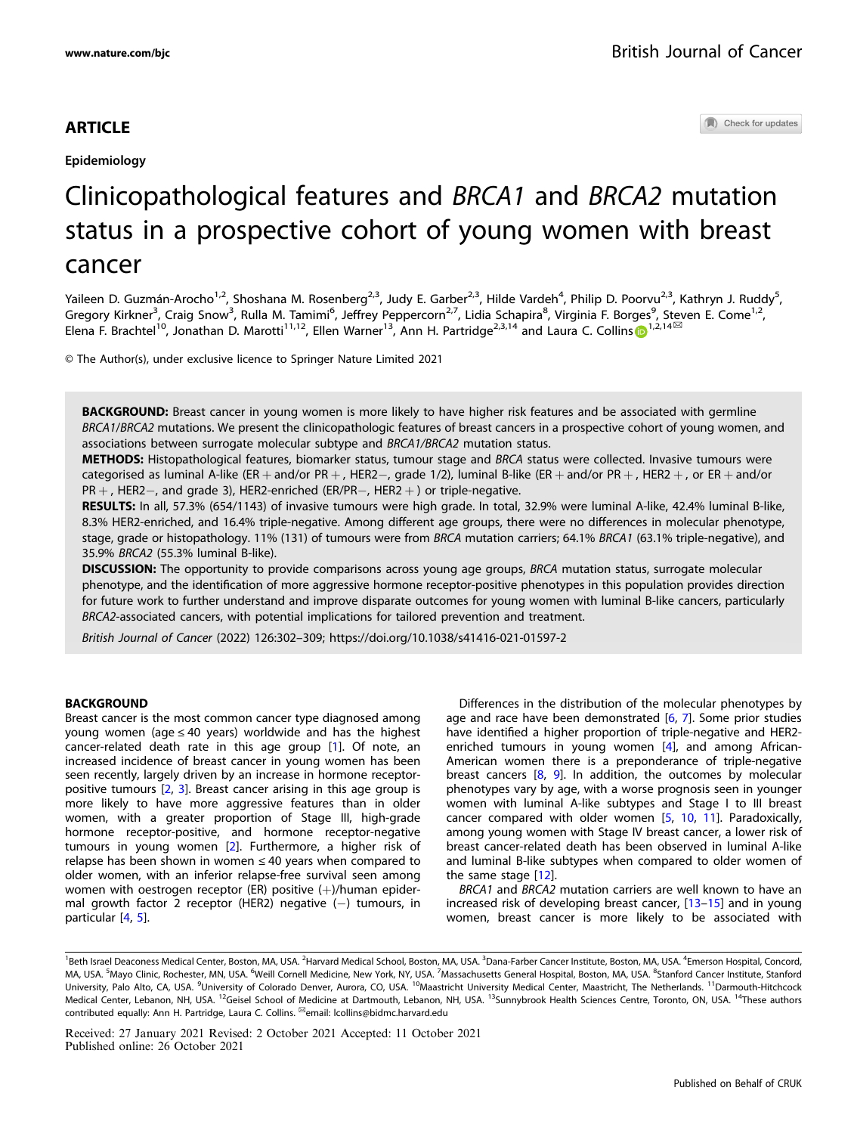# **ARTICLE**

Epidemiology

Check for updates

# Clinicopathological features and BRCA1 and BRCA2 mutation status in a prospective cohort of young women with breast cancer

Yaileen D. Guzmán-Arocho<sup>1,2</sup>, Shoshana M. Rosenberg<sup>2,3</sup>, Judy E. Garber<sup>2,3</sup>, Hilde Vardeh<sup>4</sup>, Philip D. Poorvu<sup>2,3</sup>, Kathryn J. Ruddy<sup>5</sup>, Gregory Kirkner<sup>3</sup>, Craig Snow<sup>3</sup>, Rulla M. Tamimi<sup>6</sup>, Jeffrey Peppercorn<sup>2,7</sup>, Lidia Schapira<sup>8</sup>, Virginia F. Borges<sup>9</sup>, Steven E. Come<sup>1,2</sup>, Elena F. Brachtel<sup>[1](http://orcid.org/0000-0001-6751-4792)0</sup>, Jonathan D. Marotti<sup>11,12</sup>, Ellen Warner<sup>13</sup>, Ann H. Partridge<sup>2,3,14</sup> and Laura C. Collins <sup>1,2,14</sub> $\epsilon$ </sup>

© The Author(s), under exclusive licence to Springer Nature Limited 2021

BACKGROUND: Breast cancer in young women is more likely to have higher risk features and be associated with germline BRCA1/BRCA2 mutations. We present the clinicopathologic features of breast cancers in a prospective cohort of young women, and associations between surrogate molecular subtype and BRCA1/BRCA2 mutation status.

METHODS: Histopathological features, biomarker status, tumour stage and BRCA status were collected. Invasive tumours were categorised as luminal A-like (ER + and/or PR +, HER2−, grade 1/2), luminal B-like (ER + and/or PR +, HER2 +, or ER + and/or PR +, HER2−, and grade 3), HER2-enriched (ER/PR−, HER2 +) or triple-negative.

RESULTS: In all, 57.3% (654/1143) of invasive tumours were high grade. In total, 32.9% were luminal A-like, 42.4% luminal B-like, 8.3% HER2-enriched, and 16.4% triple-negative. Among different age groups, there were no differences in molecular phenotype, stage, grade or histopathology. 11% (131) of tumours were from BRCA mutation carriers; 64.1% BRCA1 (63.1% triple-negative), and 35.9% BRCA2 (55.3% luminal B-like).

DISCUSSION: The opportunity to provide comparisons across young age groups, BRCA mutation status, surrogate molecular phenotype, and the identification of more aggressive hormone receptor-positive phenotypes in this population provides direction for future work to further understand and improve disparate outcomes for young women with luminal B-like cancers, particularly BRCA2-associated cancers, with potential implications for tailored prevention and treatment.

British Journal of Cancer (2022) 126:302–309;<https://doi.org/10.1038/s41416-021-01597-2>

# BACKGROUND

Breast cancer is the most common cancer type diagnosed among young women (age ≤ 40 years) worldwide and has the highest cancer-related death rate in this age group [[1](#page-6-0)]. Of note, an increased incidence of breast cancer in young women has been seen recently, largely driven by an increase in hormone receptorpositive tumours [[2](#page-6-0), [3\]](#page-6-0). Breast cancer arising in this age group is more likely to have more aggressive features than in older women, with a greater proportion of Stage III, high-grade hormone receptor-positive, and hormone receptor-negative tumours in young women [[2\]](#page-6-0). Furthermore, a higher risk of relapse has been shown in women  $\leq 40$  years when compared to older women, with an inferior relapse-free survival seen among women with oestrogen receptor (ER) positive  $(+)$ /human epidermal growth factor 2 receptor (HER2) negative (-) tumours, in particular [\[4,](#page-6-0) [5](#page-6-0)].

Differences in the distribution of the molecular phenotypes by age and race have been demonstrated [\[6,](#page-6-0) [7](#page-6-0)]. Some prior studies have identified a higher proportion of triple-negative and HER2 enriched tumours in young women [\[4](#page-6-0)], and among African-American women there is a preponderance of triple-negative breast cancers [[8](#page-6-0), [9\]](#page-6-0). In addition, the outcomes by molecular phenotypes vary by age, with a worse prognosis seen in younger women with luminal A-like subtypes and Stage I to III breast cancer compared with older women [\[5,](#page-6-0) [10](#page-6-0), [11\]](#page-6-0). Paradoxically, among young women with Stage IV breast cancer, a lower risk of breast cancer-related death has been observed in luminal A-like and luminal B-like subtypes when compared to older women of the same stage [\[12](#page-6-0)].

BRCA1 and BRCA2 mutation carriers are well known to have an increased risk of developing breast cancer, [[13](#page-6-0)–[15\]](#page-6-0) and in young women, breast cancer is more likely to be associated with

<sup>&</sup>lt;sup>1</sup>Beth Israel Deaconess Medical Center, Boston, MA, USA. <sup>2</sup>Harvard Medical School, Boston, MA, USA. <sup>3</sup>Dana-Farber Cancer Institute, Boston, MA, USA. <sup>4</sup>Emerson Hospital, Concord, MA, USA. <sup>5</sup>Mayo Clinic, Rochester, MN, USA. <sup>6</sup>Weill Cornell Medicine, New York, NY, USA. <sup>7</sup>Massachusetts General Hospital, Boston, MA, USA. <sup>8</sup>Stanford Cancer Institute, Stanford University, Palo Alto, CA, USA. <sup>9</sup>University of Colorado Denver, Aurora, CO, USA. <sup>10</sup>Maastricht University Medical Center, Maastricht, The Netherlands. <sup>11</sup>Darmouth-Hitchcock Medical Center, Lebanon, NH, USA. <sup>12</sup>Geisel School of Medicine at Dartmouth, Lebanon, NH, USA. <sup>13</sup>Sunnybrook Health Sciences Centre, Toronto, ON, USA. <sup>14</sup>These authors contributed equally: Ann H. Partridge, Laura C. Collins. <sup>⊠</sup>email: [lcollins@bidmc.harvard.edu](mailto:lcollins@bidmc.harvard.edu)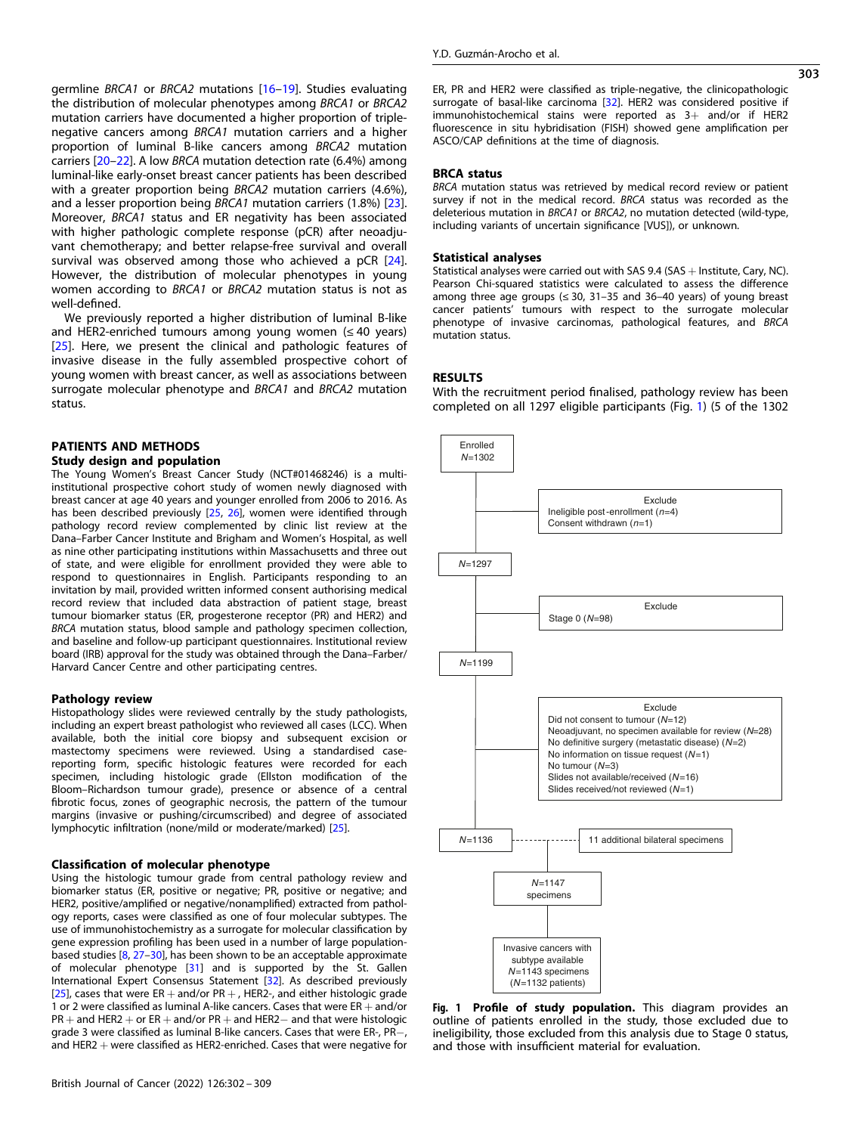<span id="page-1-0"></span>germline BRCA1 or BRCA2 mutations [\[16](#page-6-0)–[19\]](#page-6-0). Studies evaluating the distribution of molecular phenotypes among BRCA1 or BRCA2 mutation carriers have documented a higher proportion of triplenegative cancers among BRCA1 mutation carriers and a higher proportion of luminal B-like cancers among BRCA2 mutation carriers [[20](#page-6-0)–[22](#page-6-0)]. A low BRCA mutation detection rate (6.4%) among luminal-like early-onset breast cancer patients has been described with a greater proportion being BRCA2 mutation carriers (4.6%), and a lesser proportion being BRCA1 mutation carriers (1.8%) [\[23\]](#page-6-0). Moreover, BRCA1 status and ER negativity has been associated with higher pathologic complete response (pCR) after neoadjuvant chemotherapy; and better relapse-free survival and overall survival was observed among those who achieved a pCR [\[24\]](#page-6-0). However, the distribution of molecular phenotypes in young women according to BRCA1 or BRCA2 mutation status is not as well-defined.

We previously reported a higher distribution of luminal B-like and HER2-enriched tumours among young women  $( \leq 40 \text{ years})$ [\[25\]](#page-6-0). Here, we present the clinical and pathologic features of invasive disease in the fully assembled prospective cohort of young women with breast cancer, as well as associations between surrogate molecular phenotype and BRCA1 and BRCA2 mutation status.

# PATIENTS AND METHODS

# Study design and population

The Young Women's Breast Cancer Study (NCT#01468246) is a multiinstitutional prospective cohort study of women newly diagnosed with breast cancer at age 40 years and younger enrolled from 2006 to 2016. As has been described previously [[25,](#page-6-0) [26\]](#page-6-0), women were identified through pathology record review complemented by clinic list review at the Dana–Farber Cancer Institute and Brigham and Women's Hospital, as well as nine other participating institutions within Massachusetts and three out of state, and were eligible for enrollment provided they were able to respond to questionnaires in English. Participants responding to an invitation by mail, provided written informed consent authorising medical record review that included data abstraction of patient stage, breast tumour biomarker status (ER, progesterone receptor (PR) and HER2) and BRCA mutation status, blood sample and pathology specimen collection, and baseline and follow-up participant questionnaires. Institutional review board (IRB) approval for the study was obtained through the Dana–Farber/ Harvard Cancer Centre and other participating centres.

### Pathology review

Histopathology slides were reviewed centrally by the study pathologists, including an expert breast pathologist who reviewed all cases (LCC). When available, both the initial core biopsy and subsequent excision or mastectomy specimens were reviewed. Using a standardised casereporting form, specific histologic features were recorded for each specimen, including histologic grade (Ellston modification of the Bloom–Richardson tumour grade), presence or absence of a central fibrotic focus, zones of geographic necrosis, the pattern of the tumour margins (invasive or pushing/circumscribed) and degree of associated lymphocytic infiltration (none/mild or moderate/marked) [\[25](#page-6-0)].

# Classification of molecular phenotype

Using the histologic tumour grade from central pathology review and biomarker status (ER, positive or negative; PR, positive or negative; and HER2, positive/amplified or negative/nonamplified) extracted from pathology reports, cases were classified as one of four molecular subtypes. The use of immunohistochemistry as a surrogate for molecular classification by gene expression profiling has been used in a number of large populationbased studies [\[8](#page-6-0), [27](#page-6-0)–[30\]](#page-6-0), has been shown to be an acceptable approximate of molecular phenotype [[31\]](#page-6-0) and is supported by the St. Gallen International Expert Consensus Statement [\[32](#page-6-0)]. As described previously [\[25](#page-6-0)], cases that were  $ER +$  and/or  $PR +$ , HER2-, and either histologic grade 1 or 2 were classified as luminal A-like cancers. Cases that were  $ER + and/or$ PR + and HER2 + or ER + and/or PR + and HER2− and that were histologic grade 3 were classified as luminal B-like cancers. Cases that were ER-, PR−, and HER2 + were classified as HER2-enriched. Cases that were negative for ER, PR and HER2 were classified as triple-negative, the clinicopathologic surrogate of basal-like carcinoma [[32\]](#page-6-0). HER2 was considered positive if immunohistochemical stains were reported as 3+ and/or if HER2 fluorescence in situ hybridisation (FISH) showed gene amplification per ASCO/CAP definitions at the time of diagnosis.

# BRCA status

BRCA mutation status was retrieved by medical record review or patient survey if not in the medical record. BRCA status was recorded as the deleterious mutation in BRCA1 or BRCA2, no mutation detected (wild-type, including variants of uncertain significance [VUS]), or unknown.

# Statistical analyses

Statistical analyses were carried out with SAS 9.4 (SAS  $+$  Institute, Cary, NC). Pearson Chi-squared statistics were calculated to assess the difference among three age groups  $(\leq 30, 31-35$  and 36-40 years) of young breast cancer patients' tumours with respect to the surrogate molecular phenotype of invasive carcinomas, pathological features, and BRCA mutation status.

### RESULTS

With the recruitment period finalised, pathology review has been completed on all 1297 eligible participants (Fig. 1) (5 of the 1302



Fig. 1 Profile of study population. This diagram provides an outline of patients enrolled in the study, those excluded due to ineligibility, those excluded from this analysis due to Stage 0 status, and those with insufficient material for evaluation.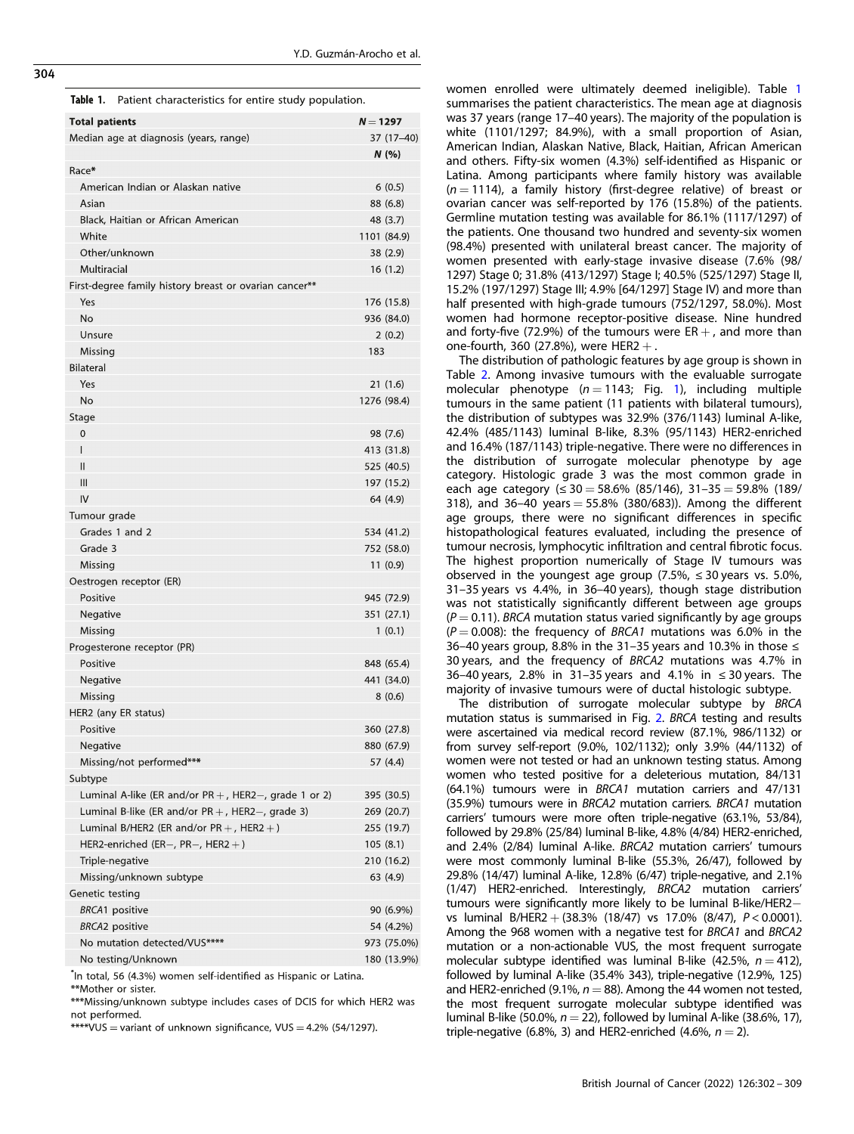|  | Table 1. Patient characteristics for entire study population. |  |  |  |
|--|---------------------------------------------------------------|--|--|--|
|--|---------------------------------------------------------------|--|--|--|

| <b>Total patients</b>                                   | $N = 1297$  |
|---------------------------------------------------------|-------------|
| Median age at diagnosis (years, range)                  | 37 (17-40)  |
|                                                         | N(%         |
| Race*                                                   |             |
| American Indian or Alaskan native                       | 6(0.5)      |
| Asian                                                   | 88 (6.8)    |
| Black, Haitian or African American                      | 48 (3.7)    |
| White                                                   | 1101 (84.9) |
| Other/unknown                                           | 38 (2.9)    |
| Multiracial                                             | 16 (1.2)    |
| First-degree family history breast or ovarian cancer**  |             |
| Yes                                                     | 176 (15.8)  |
| No                                                      | 936 (84.0)  |
| Unsure                                                  | 2(0.2)      |
| Missing                                                 | 183         |
| <b>Bilateral</b>                                        |             |
| Yes                                                     | 21 (1.6)    |
| No                                                      | 1276 (98.4) |
| Stage                                                   |             |
| $\mathbf 0$                                             | 98 (7.6)    |
| I                                                       | 413 (31.8)  |
| Ш                                                       | 525 (40.5)  |
| $\mathsf{III}$                                          | 197 (15.2)  |
| IV                                                      | 64 (4.9)    |
| Tumour grade                                            |             |
| Grades 1 and 2                                          | 534 (41.2)  |
| Grade 3                                                 | 752 (58.0)  |
| Missing                                                 | 11(0.9)     |
| Oestrogen receptor (ER)                                 |             |
| Positive                                                | 945 (72.9)  |
| Negative                                                | 351 (27.1)  |
| Missing                                                 | 1(0.1)      |
| Progesterone receptor (PR)                              |             |
| Positive                                                | 848 (65.4)  |
| Negative                                                | 441 (34.0)  |
| Missing                                                 | 8(0.6)      |
| HER2 (any ER status)                                    |             |
| Positive                                                | 360 (27.8)  |
| Negative                                                | 880 (67.9)  |
| Missing/not performed***                                | 57 (4.4)    |
| Subtype                                                 |             |
| Luminal A-like (ER and/or $PR +$ , HER2-, grade 1 or 2) | 395 (30.5)  |
| Luminal B-like (ER and/or $PR +$ , HER2-, grade 3)      | 269 (20.7)  |
| Luminal B/HER2 (ER and/or $PR +$ , HER2 +)              | 255 (19.7)  |
| HER2-enriched (ER-, PR-, HER2 +)                        | 105(8.1)    |
| Triple-negative                                         | 210 (16.2)  |
| Missing/unknown subtype                                 | 63 (4.9)    |
| Genetic testing                                         |             |
| <b>BRCA1</b> positive                                   | 90 (6.9%)   |
| <b>BRCA2</b> positive                                   | 54 (4.2%)   |
| No mutation detected/VUS****                            | 973 (75.0%) |
| No testing/Unknown                                      | 180 (13.9%) |
|                                                         |             |

"In total. 56 (4.3%) women self-identified as Hispanic or Latina.

\*\*Mother or sister.

\*\*\*Missing/unknown subtype includes cases of DCIS for which HER2 was not performed.

\*\*\*\*VUS = variant of unknown significance, VUS =  $4.2\%$  (54/1297).

women enrolled were ultimately deemed ineligible). Table 1 summarises the patient characteristics. The mean age at diagnosis was 37 years (range 17-40 years). The majority of the population is white (1101/1297; 84.9%), with a small proportion of Asian, American Indian, Alaskan Native, Black, Haitian, African American and others. Fifty-six women (4.3%) self-identi fied as Hispanic or Latina. Among participants where family history was available  $(n = 1114)$ , a family history (first-degree relative) of breast or ovarian cancer was self-reported by 176 (15.8%) of the patients. Germline mutation testing was available for 86.1% (1117/1297) of the patients. One thousand two hundred and seventy-six women (98.4%) presented with unilateral breast cancer. The majority of women presented with early-stage invasive disease (7.6% (98/ 1297) Stage 0; 31.8% (413/1297) Stage I; 40.5% (525/1297) Stage II, 15.2% (197/1297) Stage III; 4.9% [64/1297] Stage IV) and more than half presented with high-grade tumours (752/1297, 58.0%). Most women had hormone receptor-positive disease. Nine hundred and forty-five (72.9%) of the tumours were  $ER +$ , and more than one-fourth, 360 (27.8%), were HER2  $+$ .

The distribution of pathologic features by age group is shown in Table [2](#page-3-0). Among invasive tumours with the evaluable surrogate molecular phenotype  $(n = 1143;$  $(n = 1143;$  $(n = 1143;$  Fig. 1), including multiple tumours in the same patient (11 patients with bilateral tumours), the distribution of subtypes was 32.9% (376/1143) luminal A-like, 42.4% (485/1143) luminal B-like, 8.3% (95/1143) HER2-enriched and 16.4% (187/1143) triple-negative. There were no differences in the distribution of surrogate molecular phenotype by age category. Histologic grade 3 was the most common grade in each age category ( $\leq 30 = 58.6\%$  (85/146), 31-35 = 59.8% (189/ 318), and 36 –40 years = 55.8% (380/683)). Among the different age groups, there were no significant differences in specific histopathological features evaluated, including the presence of tumour necrosis, lymphocytic in filtration and central fibrotic focus. The highest proportion numerically of Stage IV tumours was observed in the youngest age group  $(7.5\% , \leq 30 \text{ years} \text{ vs. } 5.0\%)$ 31 –35 years vs 4.4%, in 36 –40 years), though stage distribution was not statistically significantly different between age groups  $(P = 0.11)$ . BRCA mutation status varied significantly by age groups  $(P = 0.008)$ : the frequency of BRCA1 mutations was 6.0% in the 36 –40 years group, 8.8% in the 31 –35 years and 10.3% in those ≤ 30 years, and the frequency of BRCA2 mutations was 4.7% in 36 –40 years, 2.8% in 31 –35 years and 4.1% in ≤ 30 years. The majority of invasive tumours were of ductal histologic subtype.

The distribution of surrogate molecular subtype by BRCA mutation status is summarised in Fig. [2](#page-5-0) . BRCA testing and results were ascertained via medical record review (87.1%, 986/1132) or from survey self-report (9.0%, 102/1132); only 3.9% (44/1132) of women were not tested or had an unknown testing status. Among women who tested positive for a deleterious mutation, 84/131 (64.1%) tumours were in BRCA1 mutation carriers and 47/131 (35.9%) tumours were in BRCA2 mutation carriers. BRCA1 mutation carriers ' tumours were more often triple-negative (63.1%, 53/84), followed by 29.8% (25/84) luminal B-like, 4.8% (4/84) HER2-enriched, and 2.4% (2/84) luminal A-like. BRCA2 mutation carriers ' tumours were most commonly luminal B-like (55.3%, 26/47), followed by 29.8% (14/47) luminal A-like, 12.8% (6/47) triple-negative, and 2.1% (1/47) HER2-enriched. Interestingly, BRCA2 mutation carriers ' tumours were significantly more likely to be luminal B-like/HER2vs luminal B/HER2 + (38.3% (18/47) vs 17.0% (8/47), P < 0.0001). Among the 968 women with a negative test for BRCA1 and BRCA2 mutation or a non-actionable VUS, the most frequent surrogate molecular subtype identified was luminal B-like (42.5%,  $n = 412$ ), followed by luminal A-like (35.4% 343), triple-negative (12.9%, 125) and HER2-enriched (9.1%,  $n = 88$ ). Among the 44 women not tested, the most frequent surrogate molecular subtype identi fied was luminal B-like (50.0%,  $n = 22$ ), followed by luminal A-like (38.6%, 17), triple-negative (6.8%, 3) and HER2-enriched (4.6%,  $n = 2$ ).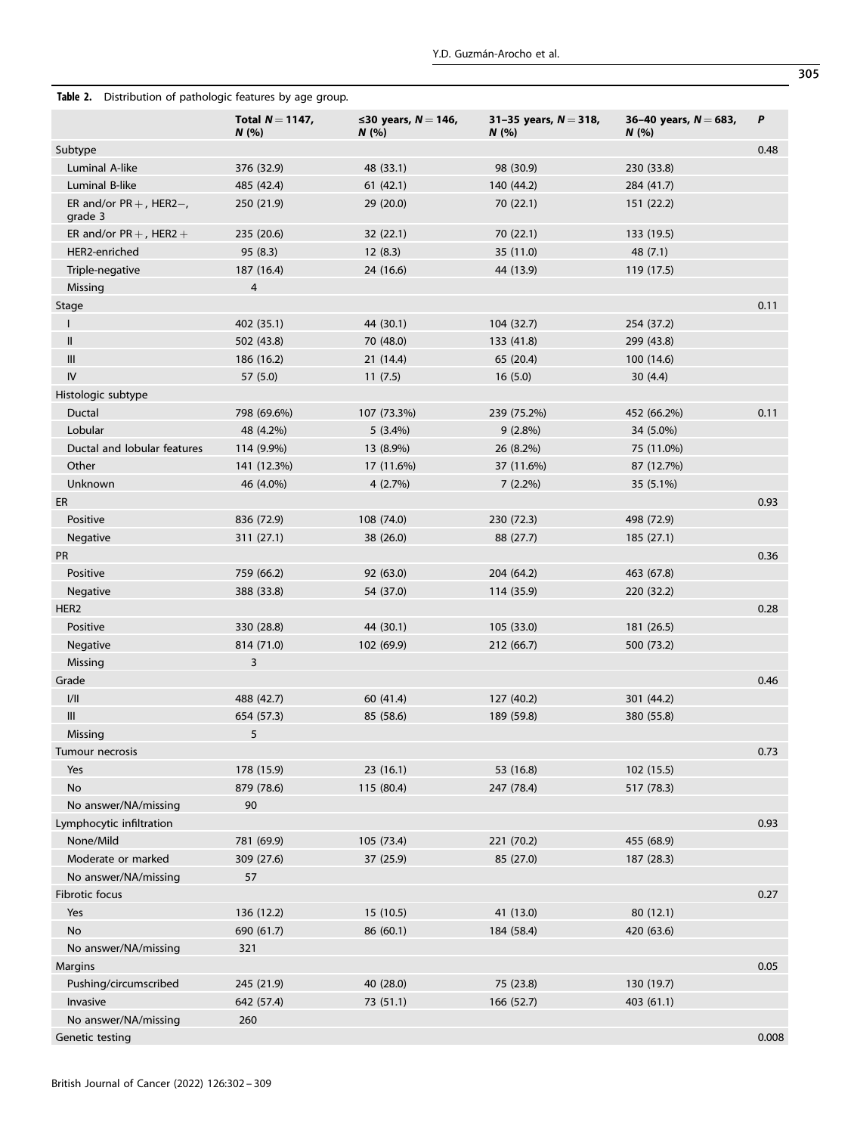<span id="page-3-0"></span>

|                                      | Total $N = 1147$ ,<br>N(%) | $\leq$ 30 years, $N = 146$ ,<br>N(96) | 31-35 years, $N = 318$ ,<br>N(% | 36-40 years, $N = 683$ ,<br>N(% | P     |
|--------------------------------------|----------------------------|---------------------------------------|---------------------------------|---------------------------------|-------|
| Subtype                              |                            |                                       |                                 |                                 | 0.48  |
| Luminal A-like                       | 376 (32.9)                 | 48 (33.1)                             | 98 (30.9)                       | 230 (33.8)                      |       |
| Luminal B-like                       | 485 (42.4)                 | 61(42.1)                              | 140 (44.2)                      | 284 (41.7)                      |       |
| ER and/or $PR +$ , HER2-,<br>grade 3 | 250 (21.9)                 | 29 (20.0)                             | 70(22.1)                        | 151 (22.2)                      |       |
| ER and/or $PR +$ , HER2 +            | 235 (20.6)                 | 32(22.1)                              | 70 (22.1)                       | 133 (19.5)                      |       |
| HER2-enriched                        | 95 (8.3)                   | 12(8.3)                               | 35 (11.0)                       | 48(7.1)                         |       |
| Triple-negative                      | 187 (16.4)                 | 24 (16.6)                             | 44 (13.9)                       | 119 (17.5)                      |       |
| Missing                              | $\overline{4}$             |                                       |                                 |                                 |       |
| Stage                                |                            |                                       |                                 |                                 | 0.11  |
| $\mathbf{I}$                         | 402 (35.1)                 | 44 (30.1)                             | 104 (32.7)                      | 254 (37.2)                      |       |
| Ш                                    | 502 (43.8)                 | 70 (48.0)                             | 133 (41.8)                      | 299 (43.8)                      |       |
| III                                  | 186 (16.2)                 | 21(14.4)                              | 65 (20.4)                       | 100 (14.6)                      |       |
| IV                                   | 57 (5.0)                   | 11(7.5)                               | 16(5.0)                         | 30(4.4)                         |       |
| Histologic subtype                   |                            |                                       |                                 |                                 |       |
| <b>Ductal</b>                        | 798 (69.6%)                | 107 (73.3%)                           | 239 (75.2%)                     | 452 (66.2%)                     | 0.11  |
| Lobular                              | 48 (4.2%)                  | 5(3.4%)                               | $9(2.8\%)$                      | 34 (5.0%)                       |       |
| Ductal and lobular features          | 114 (9.9%)                 | 13 (8.9%)                             | 26 (8.2%)                       | 75 (11.0%)                      |       |
| Other                                | 141 (12.3%)                | 17 (11.6%)                            | 37 (11.6%)                      | 87 (12.7%)                      |       |
| Unknown                              | 46 (4.0%)                  | 4(2.7%)                               | $7(2.2\%)$                      | 35 (5.1%)                       |       |
| ER                                   |                            |                                       |                                 |                                 | 0.93  |
| Positive                             | 836 (72.9)                 | 108 (74.0)                            | 230 (72.3)                      | 498 (72.9)                      |       |
| Negative                             | 311 (27.1)                 | 38 (26.0)                             | 88 (27.7)                       | 185 (27.1)                      |       |
| <b>PR</b>                            |                            |                                       |                                 |                                 | 0.36  |
| Positive                             | 759 (66.2)                 | 92 (63.0)                             | 204 (64.2)                      | 463 (67.8)                      |       |
| Negative                             | 388 (33.8)                 | 54 (37.0)                             | 114 (35.9)                      | 220 (32.2)                      |       |
| HER <sub>2</sub>                     |                            |                                       |                                 |                                 | 0.28  |
| Positive                             | 330 (28.8)                 | 44 (30.1)                             | 105 (33.0)                      | 181 (26.5)                      |       |
| Negative                             | 814 (71.0)                 | 102 (69.9)                            | 212 (66.7)                      | 500 (73.2)                      |       |
| Missing                              | $\overline{3}$             |                                       |                                 |                                 |       |
| Grade                                |                            |                                       |                                 |                                 | 0.46  |
| 1/11                                 | 488 (42.7)                 | 60 (41.4)                             | 127 (40.2)                      | 301 (44.2)                      |       |
| III                                  | 654 (57.3)                 | 85 (58.6)                             | 189 (59.8)                      | 380 (55.8)                      |       |
| Missing                              | 5                          |                                       |                                 |                                 |       |
| Tumour necrosis                      |                            |                                       |                                 |                                 | 0.73  |
| Yes                                  | 178 (15.9)                 | 23 (16.1)                             | 53 (16.8)                       | 102 (15.5)                      |       |
| No                                   | 879 (78.6)                 | 115 (80.4)                            | 247 (78.4)                      | 517 (78.3)                      |       |
| No answer/NA/missing                 | 90                         |                                       |                                 |                                 |       |
| Lymphocytic infiltration             |                            |                                       |                                 |                                 | 0.93  |
| None/Mild                            | 781 (69.9)                 | 105 (73.4)                            | 221 (70.2)                      | 455 (68.9)                      |       |
| Moderate or marked                   | 309 (27.6)                 | 37 (25.9)                             | 85 (27.0)                       | 187 (28.3)                      |       |
| No answer/NA/missing                 | 57                         |                                       |                                 |                                 |       |
| Fibrotic focus                       |                            |                                       |                                 |                                 | 0.27  |
| Yes                                  | 136 (12.2)                 | 15 (10.5)                             | 41 (13.0)                       | 80 (12.1)                       |       |
| No                                   | 690 (61.7)                 | 86 (60.1)                             | 184 (58.4)                      | 420 (63.6)                      |       |
| No answer/NA/missing                 | 321                        |                                       |                                 |                                 |       |
| Margins                              |                            |                                       |                                 |                                 | 0.05  |
| Pushing/circumscribed                | 245 (21.9)                 | 40 (28.0)                             | 75 (23.8)                       | 130 (19.7)                      |       |
| Invasive                             | 642 (57.4)                 | 73 (51.1)                             | 166 (52.7)                      | 403 (61.1)                      |       |
| No answer/NA/missing                 | 260                        |                                       |                                 |                                 |       |
| Genetic testing                      |                            |                                       |                                 |                                 | 0.008 |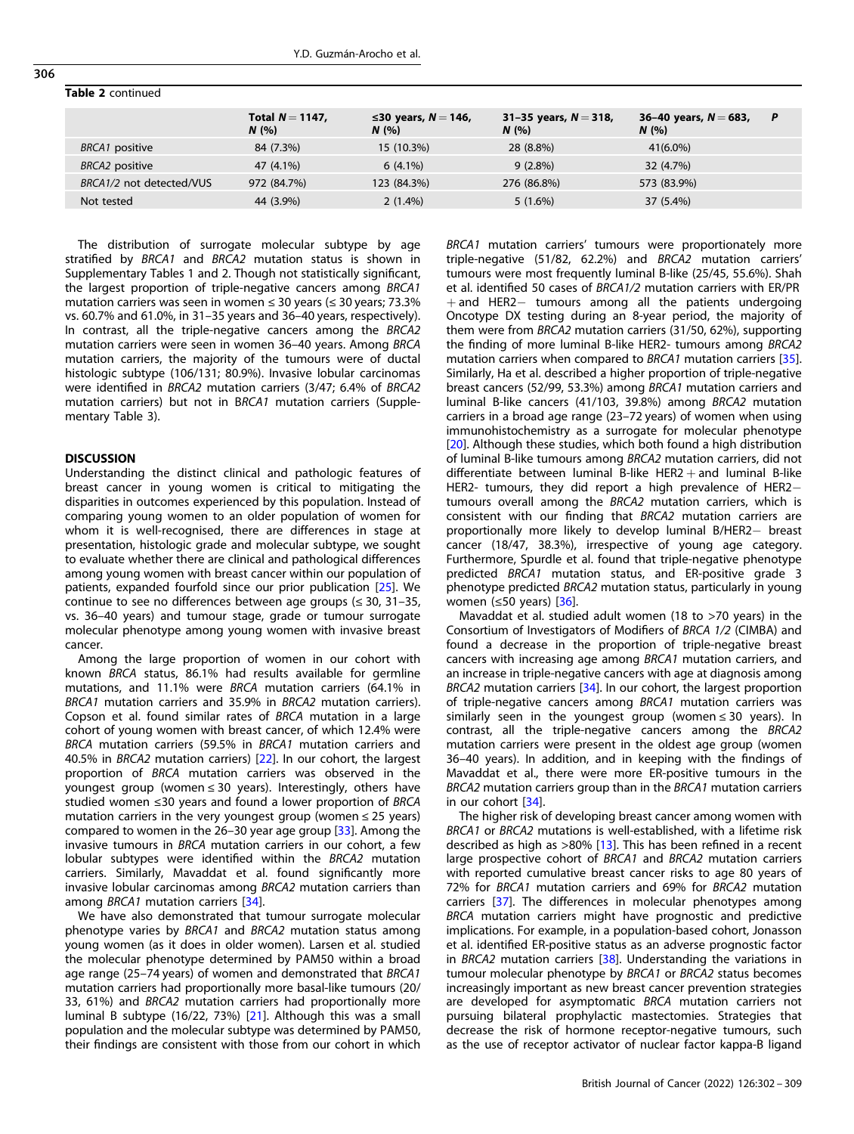|                          | Total $N = 1147$ ,<br>N(% | $\leq$ 30 years, N = 146,<br>N(96) | 31–35 years, $N = 318$ ,<br>N(%) | 36–40 years, $N = 683$ ,<br>N(%) | P |
|--------------------------|---------------------------|------------------------------------|----------------------------------|----------------------------------|---|
| BRCA1 positive           | 84 (7.3%)                 | 15 (10.3%)                         | 28 (8.8%)                        | 41(6.0%)                         |   |
| <b>BRCA2</b> positive    | 47 (4.1%)                 | $6(4.1\%)$                         | $9(2.8\%)$                       | 32 (4.7%)                        |   |
| BRCA1/2 not detected/VUS | 972 (84.7%)               | 123 (84.3%)                        | 276 (86.8%)                      | 573 (83.9%)                      |   |
| Not tested               | 44 (3.9%)                 | $2(1.4\%)$                         | $5(1.6\%)$                       | 37 (5.4%)                        |   |

Table 2 continued

The distribution of surrogate molecular subtype by age stratified by BRCA1 and BRCA2 mutation status is shown in Supplementary Tables 1 and 2. Though not statistically significant, the largest proportion of triple-negative cancers among BRCA1 mutation carriers was seen in women  $\leq$  30 years ( $\leq$  30 years; 73.3% vs. 60.7% and 61.0%, in 31–35 years and 36–40 years, respectively). In contrast, all the triple-negative cancers among the BRCA2 mutation carriers were seen in women 36–40 years. Among BRCA mutation carriers, the majority of the tumours were of ductal histologic subtype (106/131; 80.9%). Invasive lobular carcinomas were identified in BRCA2 mutation carriers (3/47; 6.4% of BRCA2 mutation carriers) but not in BRCA1 mutation carriers (Supplementary Table 3).

# **DISCUSSION**

Understanding the distinct clinical and pathologic features of breast cancer in young women is critical to mitigating the disparities in outcomes experienced by this population. Instead of comparing young women to an older population of women for whom it is well-recognised, there are differences in stage at presentation, histologic grade and molecular subtype, we sought to evaluate whether there are clinical and pathological differences among young women with breast cancer within our population of patients, expanded fourfold since our prior publication [\[25](#page-6-0)]. We continue to see no differences between age groups ( $\leq$  30, 31-35, vs. 36–40 years) and tumour stage, grade or tumour surrogate molecular phenotype among young women with invasive breast cancer.

Among the large proportion of women in our cohort with known BRCA status, 86.1% had results available for germline mutations, and 11.1% were BRCA mutation carriers (64.1% in BRCA1 mutation carriers and 35.9% in BRCA2 mutation carriers). Copson et al. found similar rates of BRCA mutation in a large cohort of young women with breast cancer, of which 12.4% were BRCA mutation carriers (59.5% in BRCA1 mutation carriers and 40.5% in BRCA2 mutation carriers) [[22\]](#page-6-0). In our cohort, the largest proportion of BRCA mutation carriers was observed in the youngest group (women ≤ 30 years). Interestingly, others have studied women ≤30 years and found a lower proportion of BRCA mutation carriers in the very youngest group (women  $\leq$  25 years) compared to women in the 26–30 year age group [[33\]](#page-6-0). Among the invasive tumours in BRCA mutation carriers in our cohort, a few lobular subtypes were identified within the BRCA2 mutation carriers. Similarly, Mavaddat et al. found significantly more invasive lobular carcinomas among BRCA2 mutation carriers than among BRCA1 mutation carriers [\[34](#page-6-0)].

We have also demonstrated that tumour surrogate molecular phenotype varies by BRCA1 and BRCA2 mutation status among young women (as it does in older women). Larsen et al. studied the molecular phenotype determined by PAM50 within a broad age range (25–74 years) of women and demonstrated that BRCA1 mutation carriers had proportionally more basal-like tumours (20/ 33, 61%) and BRCA2 mutation carriers had proportionally more luminal B subtype (16/22, 73%) [\[21](#page-6-0)]. Although this was a small population and the molecular subtype was determined by PAM50, their findings are consistent with those from our cohort in which

BRCA1 mutation carriers' tumours were proportionately more triple-negative (51/82, 62.2%) and BRCA2 mutation carriers' tumours were most frequently luminal B-like (25/45, 55.6%). Shah et al. identified 50 cases of BRCA1/2 mutation carriers with ER/PR + and HER2− tumours among all the patients undergoing Oncotype DX testing during an 8-year period, the majority of them were from BRCA2 mutation carriers (31/50, 62%), supporting the finding of more luminal B-like HER2- tumours among BRCA2 mutation carriers when compared to BRCA1 mutation carriers [[35](#page-7-0)]. Similarly, Ha et al. described a higher proportion of triple-negative breast cancers (52/99, 53.3%) among BRCA1 mutation carriers and luminal B-like cancers (41/103, 39.8%) among BRCA2 mutation carriers in a broad age range (23–72 years) of women when using immunohistochemistry as a surrogate for molecular phenotype [[20\]](#page-6-0). Although these studies, which both found a high distribution of luminal B-like tumours among BRCA2 mutation carriers, did not differentiate between luminal B-like HER2  $+$  and luminal B-like HER2- tumours, they did report a high prevalence of HER2− tumours overall among the BRCA2 mutation carriers, which is consistent with our finding that BRCA2 mutation carriers are proportionally more likely to develop luminal B/HER2− breast cancer (18/47, 38.3%), irrespective of young age category. Furthermore, Spurdle et al. found that triple-negative phenotype predicted BRCA1 mutation status, and ER-positive grade 3 phenotype predicted BRCA2 mutation status, particularly in young women ( $\leq$ 50 years) [\[36](#page-7-0)].

Mavaddat et al. studied adult women (18 to >70 years) in the Consortium of Investigators of Modifiers of BRCA 1/2 (CIMBA) and found a decrease in the proportion of triple-negative breast cancers with increasing age among BRCA1 mutation carriers, and an increase in triple-negative cancers with age at diagnosis among BRCA2 mutation carriers [[34\]](#page-6-0). In our cohort, the largest proportion of triple-negative cancers among BRCA1 mutation carriers was similarly seen in the youngest group (women  $\leq$  30 years). In contrast, all the triple-negative cancers among the BRCA2 mutation carriers were present in the oldest age group (women 36–40 years). In addition, and in keeping with the findings of Mavaddat et al., there were more ER-positive tumours in the BRCA2 mutation carriers group than in the BRCA1 mutation carriers in our cohort [[34](#page-6-0)].

The higher risk of developing breast cancer among women with BRCA1 or BRCA2 mutations is well-established, with a lifetime risk described as high as  $>80\%$  [\[13\]](#page-6-0). This has been refined in a recent large prospective cohort of BRCA1 and BRCA2 mutation carriers with reported cumulative breast cancer risks to age 80 years of 72% for BRCA1 mutation carriers and 69% for BRCA2 mutation carriers [[37](#page-7-0)]. The differences in molecular phenotypes among BRCA mutation carriers might have prognostic and predictive implications. For example, in a population-based cohort, Jonasson et al. identified ER-positive status as an adverse prognostic factor in BRCA2 mutation carriers [\[38](#page-7-0)]. Understanding the variations in tumour molecular phenotype by BRCA1 or BRCA2 status becomes increasingly important as new breast cancer prevention strategies are developed for asymptomatic BRCA mutation carriers not pursuing bilateral prophylactic mastectomies. Strategies that decrease the risk of hormone receptor-negative tumours, such as the use of receptor activator of nuclear factor kappa-B ligand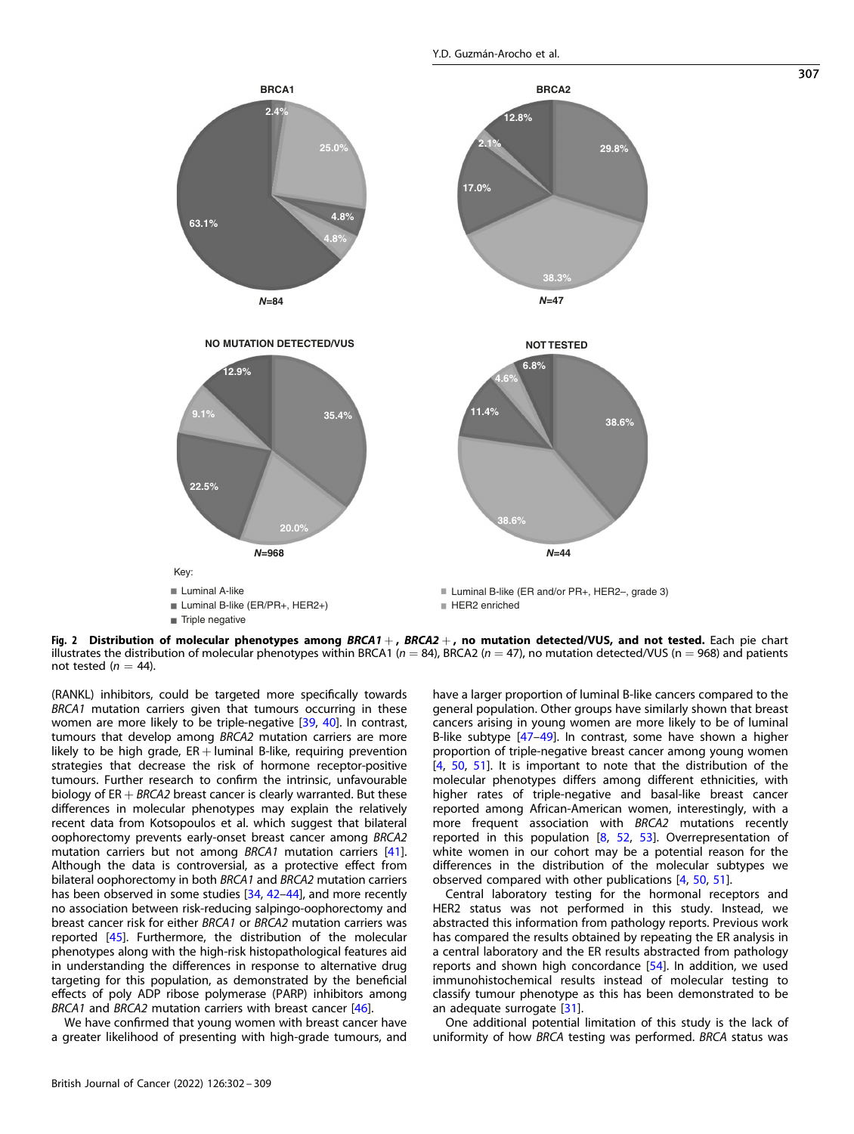<span id="page-5-0"></span>

Fig. 2 Distribution of molecular phenotypes among  $BRCA1 +$ ,  $BRCA2 +$ , no mutation detected/VUS, and not tested. Each pie chart illustrates the distribution of molecular phenotypes within BRCA1 ( $n = 84$ ), BRCA2 ( $n = 47$ ), no mutation detected/VUS ( $n = 968$ ) and patients not tested ( $n = 44$ ).

(RANKL) inhibitors, could be targeted more specifically towards BRCA1 mutation carriers given that tumours occurring in these women are more likely to be triple-negative [\[39](#page-7-0), [40](#page-7-0)]. In contrast, tumours that develop among BRCA2 mutation carriers are more likely to be high grade,  $ER +$  luminal B-like, requiring prevention strategies that decrease the risk of hormone receptor-positive tumours. Further research to confirm the intrinsic, unfavourable biology of  $ER + BRCA2$  breast cancer is clearly warranted. But these differences in molecular phenotypes may explain the relatively recent data from Kotsopoulos et al. which suggest that bilateral oophorectomy prevents early-onset breast cancer among BRCA2 mutation carriers but not among BRCA1 mutation carriers [[41\]](#page-7-0). Although the data is controversial, as a protective effect from bilateral oophorectomy in both BRCA1 and BRCA2 mutation carriers has been observed in some studies [[34,](#page-6-0) [42](#page-7-0)–[44\]](#page-7-0), and more recently no association between risk-reducing salpingo-oophorectomy and breast cancer risk for either BRCA1 or BRCA2 mutation carriers was reported [\[45](#page-7-0)]. Furthermore, the distribution of the molecular phenotypes along with the high-risk histopathological features aid in understanding the differences in response to alternative drug targeting for this population, as demonstrated by the beneficial effects of poly ADP ribose polymerase (PARP) inhibitors among BRCA1 and BRCA2 mutation carriers with breast cancer [\[46](#page-7-0)].

We have confirmed that young women with breast cancer have a greater likelihood of presenting with high-grade tumours, and have a larger proportion of luminal B-like cancers compared to the general population. Other groups have similarly shown that breast cancers arising in young women are more likely to be of luminal B-like subtype [\[47](#page-7-0)–[49\]](#page-7-0). In contrast, some have shown a higher proportion of triple-negative breast cancer among young women [\[4,](#page-6-0) [50](#page-7-0), [51](#page-7-0)]. It is important to note that the distribution of the molecular phenotypes differs among different ethnicities, with higher rates of triple-negative and basal-like breast cancer reported among African-American women, interestingly, with a more frequent association with BRCA2 mutations recently reported in this population  $[8, 52, 53]$  $[8, 52, 53]$  $[8, 52, 53]$  $[8, 52, 53]$  $[8, 52, 53]$  $[8, 52, 53]$  $[8, 52, 53]$ . Overrepresentation of white women in our cohort may be a potential reason for the differences in the distribution of the molecular subtypes we observed compared with other publications [\[4,](#page-6-0) [50,](#page-7-0) [51\]](#page-7-0).

Central laboratory testing for the hormonal receptors and HER2 status was not performed in this study. Instead, we abstracted this information from pathology reports. Previous work has compared the results obtained by repeating the ER analysis in a central laboratory and the ER results abstracted from pathology reports and shown high concordance [\[54](#page-7-0)]. In addition, we used immunohistochemical results instead of molecular testing to classify tumour phenotype as this has been demonstrated to be an adequate surrogate [[31\]](#page-6-0).

One additional potential limitation of this study is the lack of uniformity of how BRCA testing was performed. BRCA status was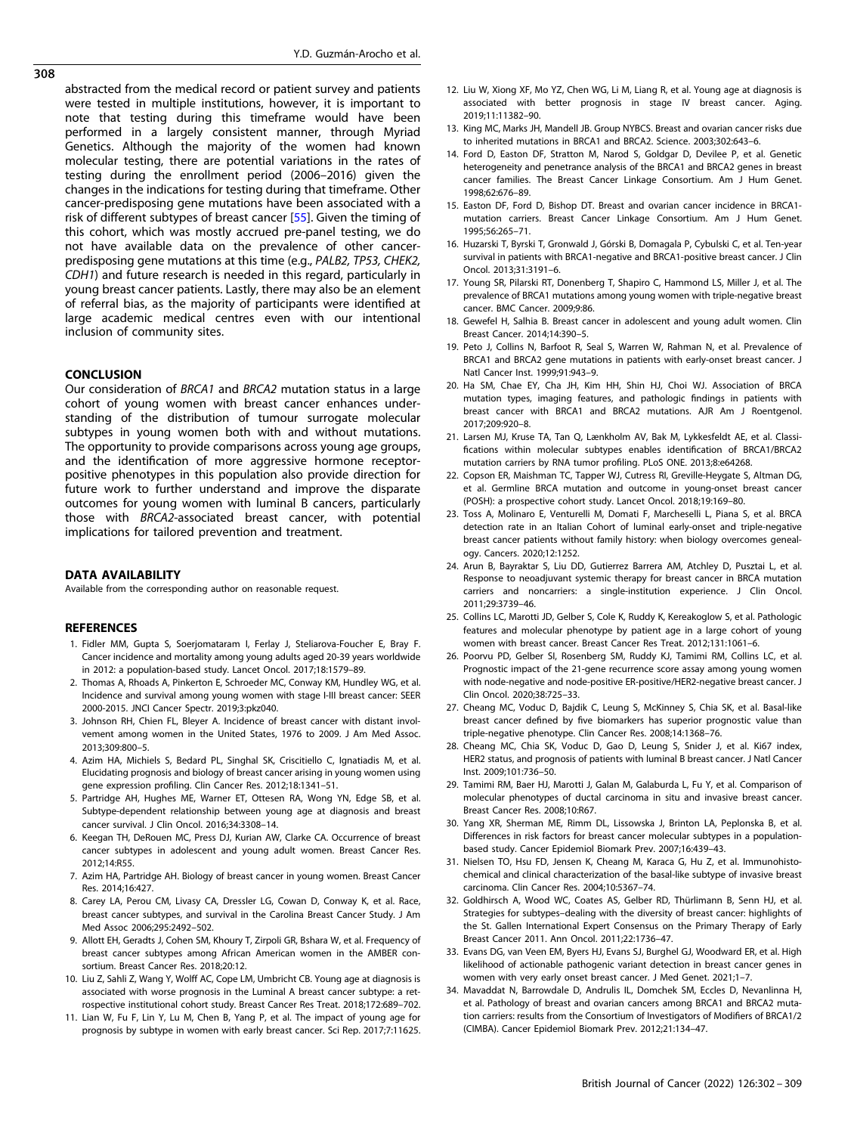<span id="page-6-0"></span>308

abstracted from the medical record or patient survey and patients were tested in multiple institutions, however, it is important to note that testing during this timeframe would have been performed in a largely consistent manner, through Myriad Genetics. Although the majority of the women had known molecular testing, there are potential variations in the rates of testing during the enrollment period (2006–2016) given the changes in the indications for testing during that timeframe. Other cancer-predisposing gene mutations have been associated with a risk of different subtypes of breast cancer [\[55](#page-7-0)]. Given the timing of this cohort, which was mostly accrued pre-panel testing, we do not have available data on the prevalence of other cancerpredisposing gene mutations at this time (e.g., PALB2, TP53, CHEK2, CDH1) and future research is needed in this regard, particularly in young breast cancer patients. Lastly, there may also be an element of referral bias, as the majority of participants were identified at large academic medical centres even with our intentional inclusion of community sites.

# **CONCLUSION**

Our consideration of BRCA1 and BRCA2 mutation status in a large cohort of young women with breast cancer enhances understanding of the distribution of tumour surrogate molecular subtypes in young women both with and without mutations. The opportunity to provide comparisons across young age groups, and the identification of more aggressive hormone receptorpositive phenotypes in this population also provide direction for future work to further understand and improve the disparate outcomes for young women with luminal B cancers, particularly those with BRCA2-associated breast cancer, with potential implications for tailored prevention and treatment.

# DATA AVAILABILITY

Available from the corresponding author on reasonable request.

# **REFERENCES**

- 1. Fidler MM, Gupta S, Soerjomataram I, Ferlay J, Steliarova-Foucher E, Bray F. Cancer incidence and mortality among young adults aged 20-39 years worldwide in 2012: a population-based study. Lancet Oncol. 2017;18:1579–89.
- 2. Thomas A, Rhoads A, Pinkerton E, Schroeder MC, Conway KM, Hundley WG, et al. Incidence and survival among young women with stage I-III breast cancer: SEER 2000-2015. JNCI Cancer Spectr. 2019;3:pkz040.
- 3. Johnson RH, Chien FL, Bleyer A. Incidence of breast cancer with distant involvement among women in the United States, 1976 to 2009. J Am Med Assoc. 2013;309:800–5.
- 4. Azim HA, Michiels S, Bedard PL, Singhal SK, Criscitiello C, Ignatiadis M, et al. Elucidating prognosis and biology of breast cancer arising in young women using gene expression profiling. Clin Cancer Res. 2012;18:1341–51.
- 5. Partridge AH, Hughes ME, Warner ET, Ottesen RA, Wong YN, Edge SB, et al. Subtype-dependent relationship between young age at diagnosis and breast cancer survival. J Clin Oncol. 2016;34:3308–14.
- 6. Keegan TH, DeRouen MC, Press DJ, Kurian AW, Clarke CA. Occurrence of breast cancer subtypes in adolescent and young adult women. Breast Cancer Res. 2012;14:R55.
- 7. Azim HA, Partridge AH. Biology of breast cancer in young women. Breast Cancer Res. 2014;16:427.
- 8. Carey LA, Perou CM, Livasy CA, Dressler LG, Cowan D, Conway K, et al. Race, breast cancer subtypes, and survival in the Carolina Breast Cancer Study. J Am Med Assoc 2006;295:2492–502.
- 9. Allott EH, Geradts J, Cohen SM, Khoury T, Zirpoli GR, Bshara W, et al. Frequency of breast cancer subtypes among African American women in the AMBER consortium. Breast Cancer Res. 2018;20:12.
- 10. Liu Z, Sahli Z, Wang Y, Wolff AC, Cope LM, Umbricht CB. Young age at diagnosis is associated with worse prognosis in the Luminal A breast cancer subtype: a retrospective institutional cohort study. Breast Cancer Res Treat. 2018;172:689–702.
- 11. Lian W, Fu F, Lin Y, Lu M, Chen B, Yang P, et al. The impact of young age for prognosis by subtype in women with early breast cancer. Sci Rep. 2017;7:11625.
- 12. Liu W, Xiong XF, Mo YZ, Chen WG, Li M, Liang R, et al. Young age at diagnosis is associated with better prognosis in stage IV breast cancer. Aging. 2019;11:11382–90.
- 13. King MC, Marks JH, Mandell JB. Group NYBCS. Breast and ovarian cancer risks due to inherited mutations in BRCA1 and BRCA2. Science. 2003;302:643–6.
- 14. Ford D, Easton DF, Stratton M, Narod S, Goldgar D, Devilee P, et al. Genetic heterogeneity and penetrance analysis of the BRCA1 and BRCA2 genes in breast cancer families. The Breast Cancer Linkage Consortium. Am J Hum Genet. 1998;62:676–89.
- 15. Easton DF, Ford D, Bishop DT. Breast and ovarian cancer incidence in BRCA1 mutation carriers. Breast Cancer Linkage Consortium. Am J Hum Genet. 1995;56:265–71.
- 16. Huzarski T, Byrski T, Gronwald J, Górski B, Domagala P, Cybulski C, et al. Ten-year survival in patients with BRCA1-negative and BRCA1-positive breast cancer. J Clin Oncol. 2013;31:3191–6.
- 17. Young SR, Pilarski RT, Donenberg T, Shapiro C, Hammond LS, Miller J, et al. The prevalence of BRCA1 mutations among young women with triple-negative breast cancer. BMC Cancer. 2009;9:86.
- 18. Gewefel H, Salhia B. Breast cancer in adolescent and young adult women. Clin Breast Cancer. 2014;14:390–5.
- 19. Peto J, Collins N, Barfoot R, Seal S, Warren W, Rahman N, et al. Prevalence of BRCA1 and BRCA2 gene mutations in patients with early-onset breast cancer. J Natl Cancer Inst. 1999;91:943–9.
- 20. Ha SM, Chae EY, Cha JH, Kim HH, Shin HJ, Choi WJ. Association of BRCA mutation types, imaging features, and pathologic findings in patients with breast cancer with BRCA1 and BRCA2 mutations. AJR Am J Roentgenol. 2017;209:920–8.
- 21. Larsen MJ, Kruse TA, Tan Q, Lænkholm AV, Bak M, Lykkesfeldt AE, et al. Classifications within molecular subtypes enables identification of BRCA1/BRCA2 mutation carriers by RNA tumor profiling. PLoS ONE. 2013;8:e64268.
- 22. Copson ER, Maishman TC, Tapper WJ, Cutress RI, Greville-Heygate S, Altman DG, et al. Germline BRCA mutation and outcome in young-onset breast cancer (POSH): a prospective cohort study. Lancet Oncol. 2018;19:169–80.
- 23. Toss A, Molinaro E, Venturelli M, Domati F, Marcheselli L, Piana S, et al. BRCA detection rate in an Italian Cohort of luminal early-onset and triple-negative breast cancer patients without family history: when biology overcomes genealogy. Cancers. 2020;12:1252.
- 24. Arun B, Bayraktar S, Liu DD, Gutierrez Barrera AM, Atchley D, Pusztai L, et al. Response to neoadjuvant systemic therapy for breast cancer in BRCA mutation carriers and noncarriers: a single-institution experience. J Clin Oncol. 2011;29:3739–46.
- 25. Collins LC, Marotti JD, Gelber S, Cole K, Ruddy K, Kereakoglow S, et al. Pathologic features and molecular phenotype by patient age in a large cohort of young women with breast cancer. Breast Cancer Res Treat. 2012;131:1061–6.
- 26. Poorvu PD, Gelber SI, Rosenberg SM, Ruddy KJ, Tamimi RM, Collins LC, et al. Prognostic impact of the 21-gene recurrence score assay among young women with node-negative and node-positive ER-positive/HER2-negative breast cancer. J Clin Oncol. 2020;38:725–33.
- 27. Cheang MC, Voduc D, Bajdik C, Leung S, McKinney S, Chia SK, et al. Basal-like breast cancer defined by five biomarkers has superior prognostic value than triple-negative phenotype. Clin Cancer Res. 2008;14:1368–76.
- 28. Cheang MC, Chia SK, Voduc D, Gao D, Leung S, Snider J, et al. Ki67 index, HER2 status, and prognosis of patients with luminal B breast cancer. J Natl Cancer Inst. 2009;101:736–50.
- 29. Tamimi RM, Baer HJ, Marotti J, Galan M, Galaburda L, Fu Y, et al. Comparison of molecular phenotypes of ductal carcinoma in situ and invasive breast cancer. Breast Cancer Res. 2008;10:R67.
- 30. Yang XR, Sherman ME, Rimm DL, Lissowska J, Brinton LA, Peplonska B, et al. Differences in risk factors for breast cancer molecular subtypes in a populationbased study. Cancer Epidemiol Biomark Prev. 2007;16:439–43.
- 31. Nielsen TO, Hsu FD, Jensen K, Cheang M, Karaca G, Hu Z, et al. Immunohistochemical and clinical characterization of the basal-like subtype of invasive breast carcinoma. Clin Cancer Res. 2004;10:5367–74.
- 32. Goldhirsch A, Wood WC, Coates AS, Gelber RD, Thürlimann B, Senn HJ, et al. Strategies for subtypes–dealing with the diversity of breast cancer: highlights of the St. Gallen International Expert Consensus on the Primary Therapy of Early Breast Cancer 2011. Ann Oncol. 2011;22:1736–47.
- 33. Evans DG, van Veen EM, Byers HJ, Evans SJ, Burghel GJ, Woodward ER, et al. High likelihood of actionable pathogenic variant detection in breast cancer genes in women with very early onset breast cancer. J Med Genet. 2021;1–7.
- 34. Mavaddat N, Barrowdale D, Andrulis IL, Domchek SM, Eccles D, Nevanlinna H, et al. Pathology of breast and ovarian cancers among BRCA1 and BRCA2 mutation carriers: results from the Consortium of Investigators of Modifiers of BRCA1/2 (CIMBA). Cancer Epidemiol Biomark Prev. 2012;21:134–47.